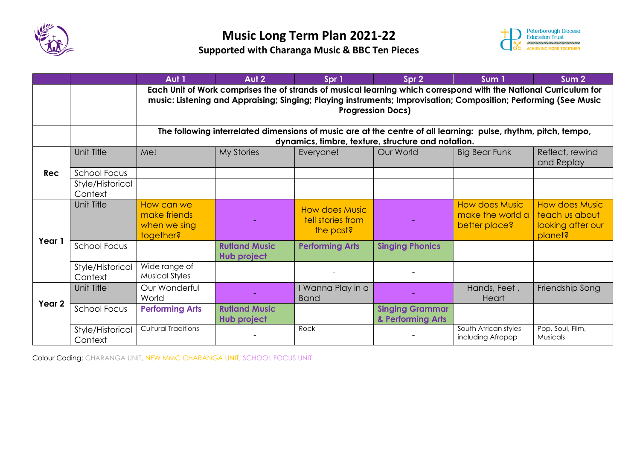



|            |                             | Aut 1                                                                                                                                                                                                                                                            | Aut 2                               | Spr 1                                                   | Spr 2                                       | Sum <sub>1</sub>                                           | Sum <sub>2</sub>                                                        |  |  |  |
|------------|-----------------------------|------------------------------------------------------------------------------------------------------------------------------------------------------------------------------------------------------------------------------------------------------------------|-------------------------------------|---------------------------------------------------------|---------------------------------------------|------------------------------------------------------------|-------------------------------------------------------------------------|--|--|--|
|            |                             | Each Unit of Work comprises the of strands of musical learning which correspond with the National Curriculum for<br>music: Listening and Appraising; Singing; Playing instruments; Improvisation; Composition; Performing (See Music<br><b>Progression Docs)</b> |                                     |                                                         |                                             |                                                            |                                                                         |  |  |  |
|            |                             | The following interrelated dimensions of music are at the centre of all learning: pulse, rhythm, pitch, tempo,<br>dynamics, timbre, texture, structure and notation.                                                                                             |                                     |                                                         |                                             |                                                            |                                                                         |  |  |  |
|            | Unit Title                  | Me!                                                                                                                                                                                                                                                              | <b>My Stories</b>                   | Everyone!                                               | Our World                                   | <b>Big Bear Funk</b>                                       | Reflect, rewind<br>and Replay                                           |  |  |  |
| <b>Rec</b> | School Focus                |                                                                                                                                                                                                                                                                  |                                     |                                                         |                                             |                                                            |                                                                         |  |  |  |
|            | Style/Historical<br>Context |                                                                                                                                                                                                                                                                  |                                     |                                                         |                                             |                                                            |                                                                         |  |  |  |
| Year 1     | Unit Title                  | How can we<br>make friends<br>when we sing<br>together?                                                                                                                                                                                                          |                                     | <b>How does Music</b><br>tell stories from<br>the past? |                                             | <b>How does Music</b><br>make the world a<br>better place? | <b>How does Music</b><br>teach us about<br>looking after our<br>planet? |  |  |  |
|            | <b>School Focus</b>         |                                                                                                                                                                                                                                                                  | <b>Rutland Music</b><br>Hub project | <b>Performing Arts</b>                                  | <b>Singing Phonics</b>                      |                                                            |                                                                         |  |  |  |
|            | Style/Historical<br>Context | Wide range of<br><b>Musical Styles</b>                                                                                                                                                                                                                           |                                     |                                                         |                                             |                                                            |                                                                         |  |  |  |
| Year 2     | Unit Title                  | Our Wonderful<br>World                                                                                                                                                                                                                                           |                                     | I Wanna Play in a<br><b>Band</b>                        |                                             | Hands, Feet,<br>Heart                                      | Friendship Song                                                         |  |  |  |
|            | <b>School Focus</b>         | <b>Performing Arts</b>                                                                                                                                                                                                                                           | <b>Rutland Music</b><br>Hub project |                                                         | <b>Singing Grammar</b><br>& Performing Arts |                                                            |                                                                         |  |  |  |
|            | Style/Historical<br>Context | <b>Cultural Traditions</b>                                                                                                                                                                                                                                       |                                     | Rock                                                    |                                             | South African styles<br>including Afropop                  | Pop, Soul, Film,<br>Musicals                                            |  |  |  |

Colour Coding: CHARANGA UNIT, NEW MMC CHARANGA UNIT, SCHOOL FOCUS UNIT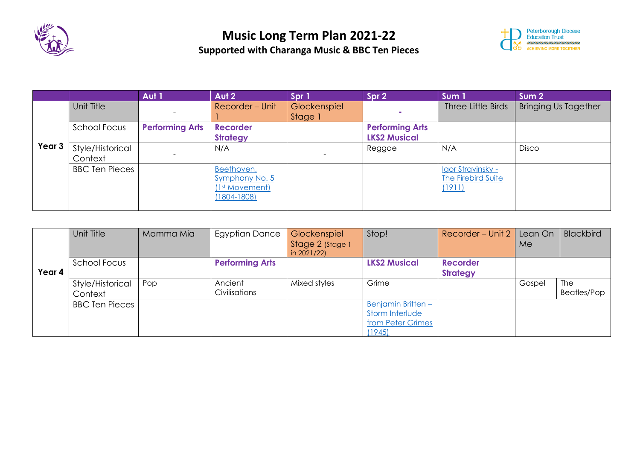



|        |                       | Aut 1                  | Aut 2                      | Spr 1        | Spr 2                  | Sum 1              | Sum <sub>2</sub>            |
|--------|-----------------------|------------------------|----------------------------|--------------|------------------------|--------------------|-----------------------------|
|        | Unit Title            |                        | Recorder - Unit            | Glockenspiel |                        | Three Little Birds | <b>Bringing Us Together</b> |
|        |                       |                        |                            | Stage 1      |                        |                    |                             |
|        | School Focus          | <b>Performing Arts</b> | <b>Recorder</b>            |              | <b>Performing Arts</b> |                    |                             |
| Year 3 |                       |                        | <b>Strategy</b>            |              | <b>LKS2 Musical</b>    |                    |                             |
|        | Style/Historical      |                        | N/A                        |              | Reggae                 | N/A                | <b>Disco</b>                |
|        | Context               |                        |                            |              |                        |                    |                             |
|        | <b>BBC Ten Pieces</b> |                        | Beethoven,                 |              |                        | Igor Stravinsky -  |                             |
|        |                       |                        | Symphony No. 5             |              |                        | The Firebird Suite |                             |
|        |                       |                        | (1 <sup>st</sup> Movement) |              |                        | (1911)             |                             |
|        |                       |                        | $(1804 - 1808)$            |              |                        |                    |                             |
|        |                       |                        |                            |              |                        |                    |                             |

|        | Unit Title                  | Mamma Mia | <b>Egyptian Dance</b>    | Glockenspiel<br>Stage 2 (Stage 1<br>in 2021/22) | Stop!                                                                       | Recorder - Unit 2                  | Lean On<br>Me | <b>Blackbird</b>   |
|--------|-----------------------------|-----------|--------------------------|-------------------------------------------------|-----------------------------------------------------------------------------|------------------------------------|---------------|--------------------|
| Year 4 | School Focus                |           | <b>Performing Arts</b>   |                                                 | <b>LKS2 Musical</b>                                                         | <b>Recorder</b><br><b>Strategy</b> |               |                    |
|        | Style/Historical<br>Context | Pop       | Ancient<br>Civilisations | Mixed styles                                    | Grime                                                                       |                                    | Gospel        | The<br>Beatles/Pop |
|        | <b>BBC Ten Pieces</b>       |           |                          |                                                 | <b>Benjamin Britten -</b><br>Storm Interlude<br>from Peter Grimes<br>(1945) |                                    |               |                    |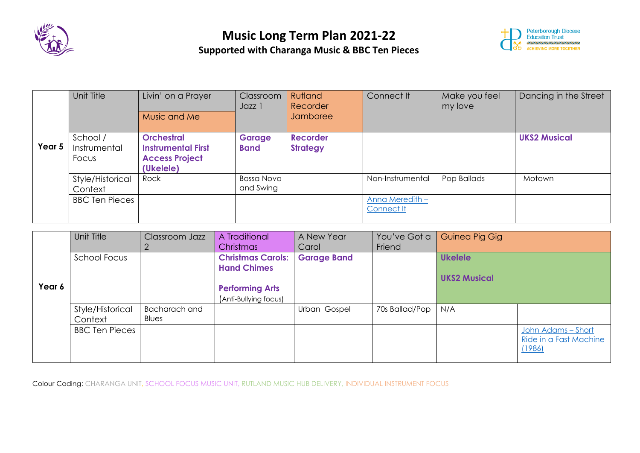



|        | Unit Title                        | Livin' on a Prayer<br>Music and Me                                                   | Classroom<br>Jazz 1            | Rutland<br>Recorder<br><b>Jamboree</b> | Connect It                    | Make you feel<br>my love | Dancing in the Street |
|--------|-----------------------------------|--------------------------------------------------------------------------------------|--------------------------------|----------------------------------------|-------------------------------|--------------------------|-----------------------|
| Year 5 | School /<br>Instrumental<br>Focus | <b>Orchestral</b><br><b>Instrumental First</b><br><b>Access Project</b><br>(Ukelele) | <b>Garage</b><br><b>Band</b>   | <b>Recorder</b><br><b>Strategy</b>     |                               |                          | <b>UKS2 Musical</b>   |
|        | Style/Historical<br>Context       | Rock                                                                                 | <b>Bossa Nova</b><br>and Swing |                                        | Non-Instrumental              | Pop Ballads              | Motown                |
|        | <b>BBC Ten Pieces</b>             |                                                                                      |                                |                                        | Anna Meredith -<br>Connect It |                          |                       |

|        | Unit Title                  | Classroom Jazz         | A Traditional<br><b>Christmas</b>              | A New Year<br>Carol | You've Got a<br>Friend | Guinea Pig Gig      |                                              |
|--------|-----------------------------|------------------------|------------------------------------------------|---------------------|------------------------|---------------------|----------------------------------------------|
|        | School Focus                |                        | <b>Christmas Carols:</b><br><b>Hand Chimes</b> | <b>Garage Band</b>  |                        | <b>Ukelele</b>      |                                              |
| Year 6 |                             |                        | <b>Performing Arts</b>                         |                     |                        | <b>UKS2 Musical</b> |                                              |
|        |                             |                        | (Anti-Bullying focus)                          |                     |                        |                     |                                              |
|        | Style/Historical<br>Context | Bacharach and<br>Blues |                                                | Urban Gospel        | 70s Ballad/Pop         | N/A                 |                                              |
|        | <b>BBC Ten Pieces</b>       |                        |                                                |                     |                        |                     | John Adams - Short<br>Ride in a Fast Machine |
|        |                             |                        |                                                |                     |                        |                     | (1986)                                       |

Colour Coding: CHARANGA UNIT, SCHOOL FOCUS MUSIC UNIT, RUTLAND MUSIC HUB DELIVERY, INDIVIDUAL INSTRUMENT FOCUS